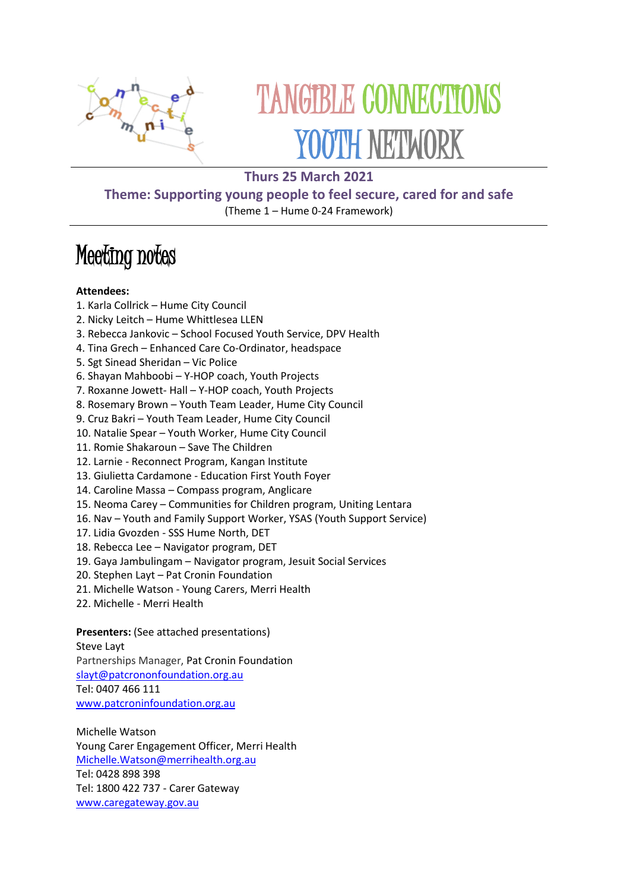

# TANGIBLE CONNECTIONS YOUTH NETWORK

# **Thurs 25 March 2021**

## **Theme: Supporting young people to feel secure, cared for and safe** (Theme 1 – Hume 0-24 Framework)

# Meeting notes

#### **Attendees:**

- 1. Karla Collrick Hume City Council
- 2. Nicky Leitch Hume Whittlesea LLEN
- 3. Rebecca Jankovic School Focused Youth Service, DPV Health
- 4. Tina Grech Enhanced Care Co-Ordinator, headspace
- 5. Sgt Sinead Sheridan Vic Police
- 6. Shayan Mahboobi Y-HOP coach, Youth Projects
- 7. Roxanne Jowett- Hall Y-HOP coach, Youth Projects
- 8. Rosemary Brown Youth Team Leader, Hume City Council
- 9. Cruz Bakri Youth Team Leader, Hume City Council
- 10. Natalie Spear Youth Worker, Hume City Council
- 11. Romie Shakaroun Save The Children
- 12. Larnie Reconnect Program, Kangan Institute
- 13. Giulietta Cardamone Education First Youth Foyer
- 14. Caroline Massa Compass program, Anglicare
- 15. Neoma Carey Communities for Children program, Uniting Lentara
- 16. Nav Youth and Family Support Worker, YSAS (Youth Support Service)
- 17. Lidia Gvozden SSS Hume North, DET
- 18. Rebecca Lee Navigator program, DET
- 19. Gaya Jambulingam Navigator program, Jesuit Social Services
- 20. Stephen Layt Pat Cronin Foundation
- 21. Michelle Watson Young Carers, Merri Health
- 22. Michelle Merri Health

## **Presenters:** (See attached presentations)

#### Steve Layt

Partnerships Manager, Pat Cronin Foundation

[slayt@patcrononfoundation.org.au](mailto:slayt@patcrononfoundation.org.au)

Tel: 0407 466 111

[www.patcroninfoundation.org.au](http://www.patcroninfoundation.org.au/)

Michelle Watson Young Carer Engagement Officer, Merri Health [Michelle.Watson@merrihealth.org.au](mailto:Michelle.Watson@merrihealth.org.au) Tel: 0428 898 398 Tel: 1800 422 737 - Carer Gateway [www.caregateway.gov.au](http://www.caregateway.gov.au/)